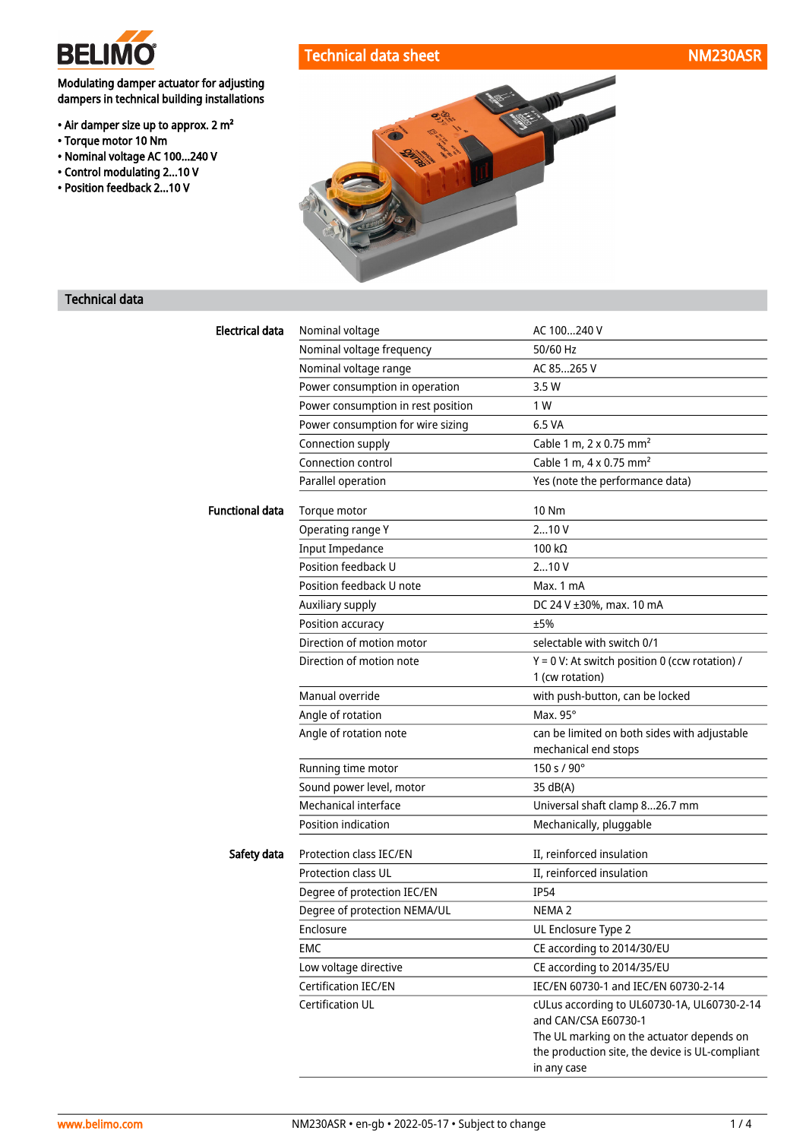

• Torque motor 10 Nm

Modulating damper actuator for adjusting dampers in technical building installations

• Air damper size up to approx. 2 m²

• Nominal voltage AC 100...240 V • Control modulating 2...10 V • Position feedback 2...10 V

## Technical data sheet NM230ASR



## Technical data

| <b>Electrical data</b> | Nominal voltage                    | AC 100240 V                                                                                                 |
|------------------------|------------------------------------|-------------------------------------------------------------------------------------------------------------|
|                        | Nominal voltage frequency          | 50/60 Hz                                                                                                    |
|                        | Nominal voltage range              | AC 85265 V                                                                                                  |
|                        | Power consumption in operation     | 3.5 W                                                                                                       |
|                        | Power consumption in rest position | 1 W                                                                                                         |
|                        | Power consumption for wire sizing  | 6.5 VA                                                                                                      |
|                        | Connection supply                  | Cable 1 m, 2 x 0.75 mm <sup>2</sup>                                                                         |
|                        | Connection control                 | Cable 1 m, 4 x 0.75 mm <sup>2</sup>                                                                         |
|                        | Parallel operation                 | Yes (note the performance data)                                                                             |
| <b>Functional data</b> | Torque motor                       | 10 Nm                                                                                                       |
|                        | Operating range Y                  | 210V                                                                                                        |
|                        | <b>Input Impedance</b>             | 100 $k\Omega$                                                                                               |
|                        | Position feedback U                | 210V                                                                                                        |
|                        | Position feedback U note           | Max. 1 mA                                                                                                   |
|                        | Auxiliary supply                   | DC 24 V ±30%, max. 10 mA                                                                                    |
|                        | Position accuracy                  | ±5%                                                                                                         |
|                        | Direction of motion motor          | selectable with switch 0/1                                                                                  |
|                        | Direction of motion note           | $Y = 0$ V: At switch position 0 (ccw rotation) /<br>1 (cw rotation)                                         |
|                        | Manual override                    | with push-button, can be locked                                                                             |
|                        | Angle of rotation                  | Max. 95°                                                                                                    |
|                        | Angle of rotation note             | can be limited on both sides with adjustable<br>mechanical end stops                                        |
|                        | Running time motor                 | 150 s / 90°                                                                                                 |
|                        | Sound power level, motor           | 35 dB(A)                                                                                                    |
|                        | Mechanical interface               | Universal shaft clamp 826.7 mm                                                                              |
|                        | Position indication                | Mechanically, pluggable                                                                                     |
| Safety data            | Protection class IEC/EN            | II, reinforced insulation                                                                                   |
|                        | <b>Protection class UL</b>         | II, reinforced insulation                                                                                   |
|                        | Degree of protection IEC/EN        | <b>IP54</b>                                                                                                 |
|                        | Degree of protection NEMA/UL       | NEMA <sub>2</sub>                                                                                           |
|                        | Enclosure                          | UL Enclosure Type 2                                                                                         |
|                        | <b>EMC</b>                         | CE according to 2014/30/EU                                                                                  |
|                        | Low voltage directive              | CE according to 2014/35/EU                                                                                  |
|                        | Certification IEC/EN               | IEC/EN 60730-1 and IEC/EN 60730-2-14                                                                        |
|                        | Certification UL                   | cULus according to UL60730-1A, UL60730-2-14<br>and CAN/CSA E60730-1                                         |
|                        |                                    | The UL marking on the actuator depends on<br>the production site, the device is UL-compliant<br>in any case |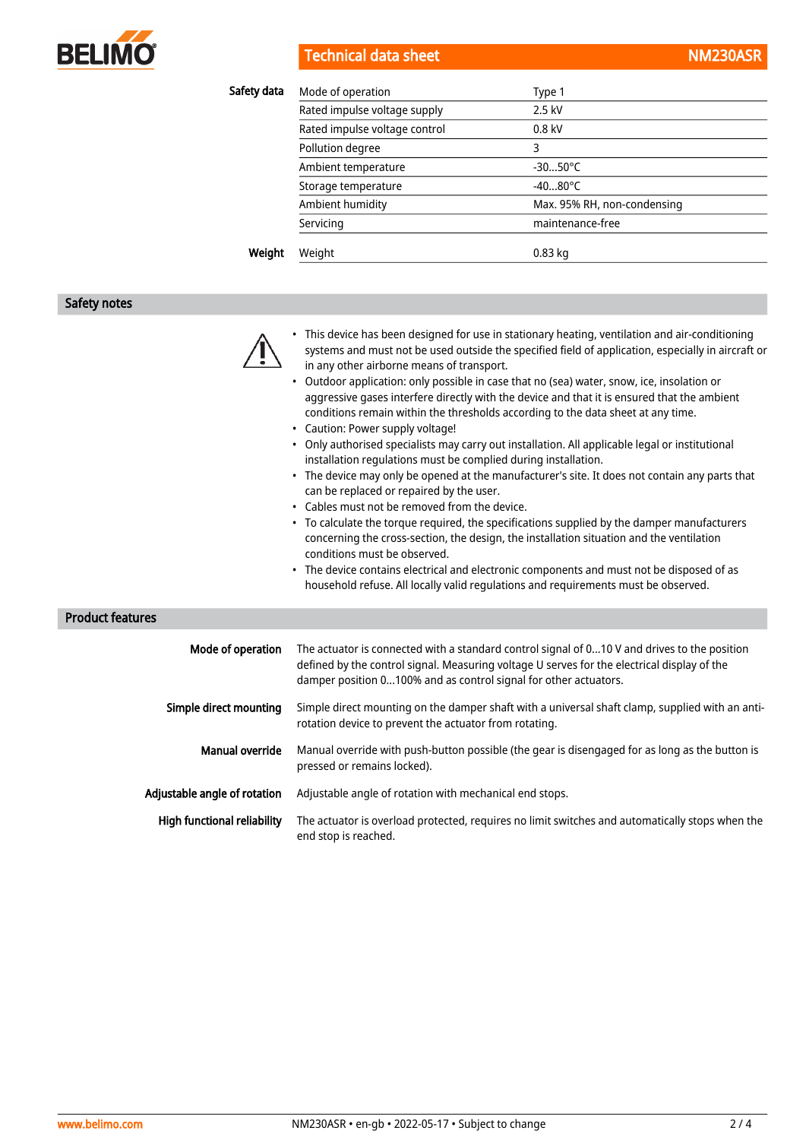

**Technical data sheet** 

| NM230ASR |  |
|----------|--|
|          |  |

| Safety data | Mode of operation             | Type 1                      |
|-------------|-------------------------------|-----------------------------|
|             | Rated impulse voltage supply  | 2.5 kV                      |
|             | Rated impulse voltage control | $0.8$ kV                    |
|             | Pollution degree              | 3                           |
|             | Ambient temperature           | $-3050^{\circ}$ C           |
|             | Storage temperature           | $-4080^{\circ}$ C           |
|             | Ambient humidity              | Max. 95% RH, non-condensing |
|             | Servicing                     | maintenance-free            |
| Weight      | Weight                        | $0.83$ kg                   |

#### Safety notes

- This device has been designed for use in stationary heating, ventilation and air-conditioning systems and must not be used outside the specified field of application, especially in aircraft or in any other airborne means of transport.
- Outdoor application: only possible in case that no (sea) water, snow, ice, insolation or aggressive gases interfere directly with the device and that it is ensured that the ambient conditions remain within the thresholds according to the data sheet at any time.
- Caution: Power supply voltage!
- Only authorised specialists may carry out installation. All applicable legal or institutional installation regulations must be complied during installation.
- The device may only be opened at the manufacturer's site. It does not contain any parts that can be replaced or repaired by the user.
- Cables must not be removed from the device.
- To calculate the torque required, the specifications supplied by the damper manufacturers concerning the cross-section, the design, the installation situation and the ventilation conditions must be observed.
- The device contains electrical and electronic components and must not be disposed of as household refuse. All locally valid regulations and requirements must be observed.

Product features

| Mode of operation            | The actuator is connected with a standard control signal of 010 V and drives to the position<br>defined by the control signal. Measuring voltage U serves for the electrical display of the<br>damper position 0100% and as control signal for other actuators. |
|------------------------------|-----------------------------------------------------------------------------------------------------------------------------------------------------------------------------------------------------------------------------------------------------------------|
| Simple direct mounting       | Simple direct mounting on the damper shaft with a universal shaft clamp, supplied with an anti-<br>rotation device to prevent the actuator from rotating.                                                                                                       |
| Manual override              | Manual override with push-button possible (the gear is disengaged for as long as the button is<br>pressed or remains locked).                                                                                                                                   |
| Adjustable angle of rotation | Adjustable angle of rotation with mechanical end stops.                                                                                                                                                                                                         |
| High functional reliability  | The actuator is overload protected, requires no limit switches and automatically stops when the<br>end stop is reached.                                                                                                                                         |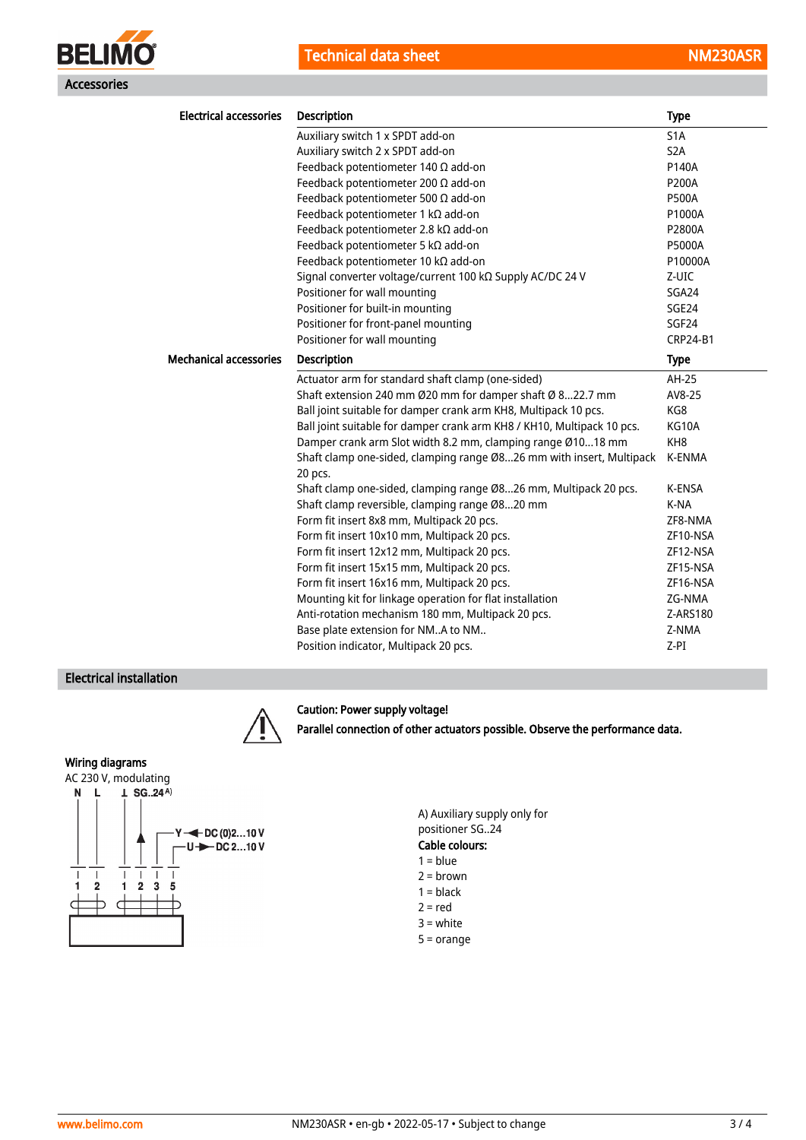

| <b>Electrical accessories</b> | <b>Description</b>                                                              | <b>Type</b>      |
|-------------------------------|---------------------------------------------------------------------------------|------------------|
|                               | Auxiliary switch 1 x SPDT add-on                                                | S <sub>1</sub> A |
|                               | Auxiliary switch 2 x SPDT add-on                                                | S <sub>2</sub> A |
|                               | Feedback potentiometer 140 $\Omega$ add-on                                      | P140A            |
|                               | Feedback potentiometer 200 $\Omega$ add-on                                      | <b>P200A</b>     |
|                               | Feedback potentiometer 500 $\Omega$ add-on                                      | <b>P500A</b>     |
|                               | Feedback potentiometer 1 kΩ add-on                                              | P1000A           |
|                               | Feedback potentiometer 2.8 kΩ add-on                                            | P2800A           |
|                               | Feedback potentiometer 5 k $\Omega$ add-on                                      | P5000A           |
|                               | Feedback potentiometer 10 kΩ add-on                                             | P10000A          |
|                               | Signal converter voltage/current 100 kΩ Supply AC/DC 24 V                       | Z-UIC            |
|                               | Positioner for wall mounting                                                    | SGA24            |
|                               | Positioner for built-in mounting                                                | SGE24            |
|                               | Positioner for front-panel mounting                                             | SGF24            |
|                               | Positioner for wall mounting                                                    | <b>CRP24-B1</b>  |
| <b>Mechanical accessories</b> | <b>Description</b>                                                              | <b>Type</b>      |
|                               | Actuator arm for standard shaft clamp (one-sided)                               | AH-25            |
|                               | Shaft extension 240 mm Ø20 mm for damper shaft Ø 822.7 mm                       | AV8-25           |
|                               | Ball joint suitable for damper crank arm KH8, Multipack 10 pcs.                 | KG8              |
|                               | Ball joint suitable for damper crank arm KH8 / KH10, Multipack 10 pcs.          | KG10A            |
|                               | Damper crank arm Slot width 8.2 mm, clamping range Ø1018 mm                     | KH <sub>8</sub>  |
|                               | Shaft clamp one-sided, clamping range Ø826 mm with insert, Multipack<br>20 pcs. | <b>K-ENMA</b>    |
|                               | Shaft clamp one-sided, clamping range Ø826 mm, Multipack 20 pcs.                | K-ENSA           |
|                               | Shaft clamp reversible, clamping range Ø820 mm                                  | K-NA             |
|                               | Form fit insert 8x8 mm, Multipack 20 pcs.                                       | ZF8-NMA          |
|                               | Form fit insert 10x10 mm, Multipack 20 pcs.                                     | ZF10-NSA         |
|                               | Form fit insert 12x12 mm, Multipack 20 pcs.                                     | ZF12-NSA         |
|                               | Form fit insert 15x15 mm, Multipack 20 pcs.                                     | ZF15-NSA         |
|                               | Form fit insert 16x16 mm, Multipack 20 pcs.                                     | ZF16-NSA         |
|                               | Mounting kit for linkage operation for flat installation                        | ZG-NMA           |
|                               | Anti-rotation mechanism 180 mm, Multipack 20 pcs.                               | Z-ARS180         |
|                               | Base plate extension for NMA to NM                                              | Z-NMA            |
|                               | Position indicator, Multipack 20 pcs.                                           | $Z-PI$           |

#### Electrical installation



#### Caution: Power supply voltage!

Parallel connection of other actuators possible. Observe the performance data.

## Wiring diagrams





- $1 = **black**$
- $2 = red$
- 3 = white
- 5 = orange